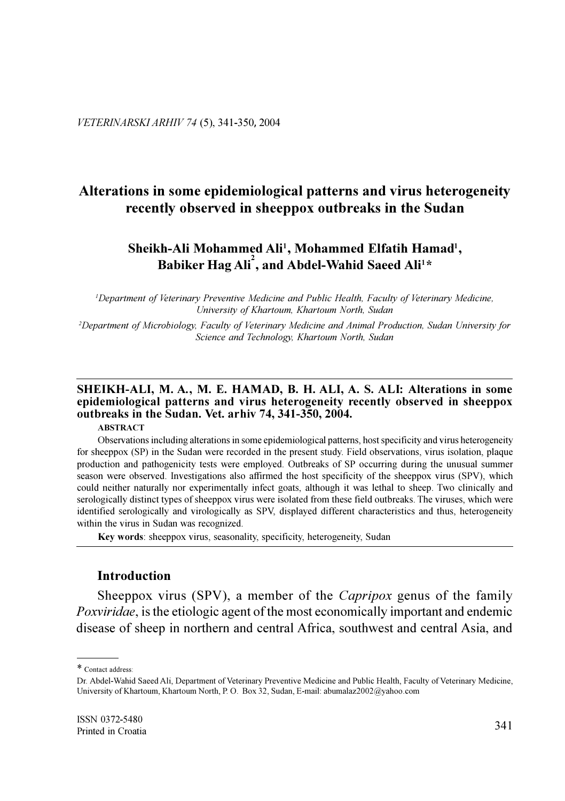# Alterations in some epidemiological patterns and virus heterogeneity recently observed in sheeppox outbreaks in the Sudan

## Sheikh-Ali Mohammed Ali<sup>1</sup>, Mohammed Elfatih Hamad<sup>1</sup>, Babiker Hag Ali<sup>2</sup>, and Abdel-Wahid Saeed Ali<sup>1\*</sup>

<sup>1</sup>Department of Veterinary Preventive Medicine and Public Health, Faculty of Veterinary Medicine, University of Khartoum, Khartoum North, Sudan

<sup>2</sup>Department of Microbiology, Faculty of Veterinary Medicine and Animal Production, Sudan University for Science and Technology, Khartoum North, Sudan

## SHEIKH-ALI, M. A., M. E. HAMAD, B. H. ALI, A. S. ALI: Alterations in some epidemiological patterns and virus heterogeneity recently observed in sheeppox outbreaks in the Sudan. Vet. arhiv 74, 341-350, 2004.

#### **ABSTRACT**

Observations including alterations in some epidemiological patterns, host specificity and virus heterogeneity for sheeppox (SP) in the Sudan were recorded in the present study. Field observations, virus isolation, plaque production and pathogenicity tests were employed. Outbreaks of SP occurring during the unusual summer season were observed. Investigations also affirmed the host specificity of the sheeppox virus (SPV), which could neither naturally nor experimentally infect goats, although it was lethal to sheep. Two clinically and serologically distinct types of sheeppox virus were isolated from these field outbreaks. The viruses, which were identified serologically and virologically as SPV, displayed different characteristics and thus, heterogeneity within the virus in Sudan was recognized.

Key words: sheeppox virus, seasonality, specificity, heterogeneity, Sudan

#### **Introduction**

Sheeppox virus (SPV), a member of the *Capripox* genus of the family *Poxviridae*, is the etiologic agent of the most economically important and endemic disease of sheep in northern and central Africa, southwest and central Asia, and

<sup>\*</sup> Contact address:

Dr. Abdel-Wahid Saeed Ali, Department of Veterinary Preventive Medicine and Public Health, Faculty of Veterinary Medicine, University of Khartoum, Khartoum North, P. O. Box 32, Sudan, E-mail: abumalaz2002@yahoo.com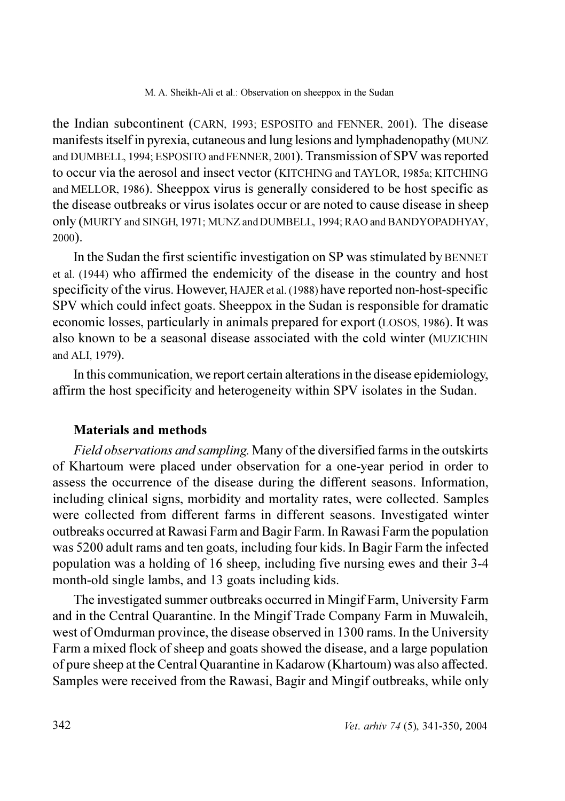the Indian subcontinent (CARN, 1993; ESPOSITO and FENNER, 2001). The disease manifests itself in pyrexia, cutaneous and lung lesions and lymphadenopathy (MUNZ and DUMBELL, 1994; ESPOSITO and FENNER, 2001). Transmission of SPV was reported to occur via the aerosol and insect vector (KITCHING and TAYLOR, 1985a; KITCHING and MELLOR, 1986). Sheeppox virus is generally considered to be host specific as the disease outbreaks or virus isolates occur or are noted to cause disease in sheep only (MURTY and SINGH, 1971; MUNZ and DUMBELL, 1994; RAO and BANDYOPADHYAY, 2000).

In the Sudan the first scientific investigation on SP was stimulated by BENNET et al. (1944) who affirmed the endemicity of the disease in the country and host specificity of the virus. However, HAJER et al. (1988) have reported non-host-specific SPV which could infect goats. Sheeppox in the Sudan is responsible for dramatic economic losses, particularly in animals prepared for export (LOSOS, 1986). It was also known to be a seasonal disease associated with the cold winter (MUZICHIN and ALL 1979).

In this communication, we report certain alterations in the disease epidemiology, affirm the host specificity and heterogeneity within SPV isolates in the Sudan.

### **Materials and methods**

Field observations and sampling. Many of the diversified farms in the outskirts of Khartoum were placed under observation for a one-year period in order to assess the occurrence of the disease during the different seasons. Information, including clinical signs, morbidity and mortality rates, were collected. Samples were collected from different farms in different seasons. Investigated winter outbreaks occurred at Rawasi Farm and Bagir Farm. In Rawasi Farm the population was 5200 adult rams and ten goats, including four kids. In Bagir Farm the infected population was a holding of 16 sheep, including five nursing ewes and their 3-4 month-old single lambs, and 13 goats including kids.

The investigated summer outbreaks occurred in Mingif Farm, University Farm and in the Central Quarantine. In the Mingif Trade Company Farm in Muwaleih, west of Omdurman province, the disease observed in 1300 rams. In the University Farm a mixed flock of sheep and goats showed the disease, and a large population of pure sheep at the Central Quarantine in Kadarow (Khartoum) was also affected. Samples were received from the Rawasi, Bagir and Mingif outbreaks, while only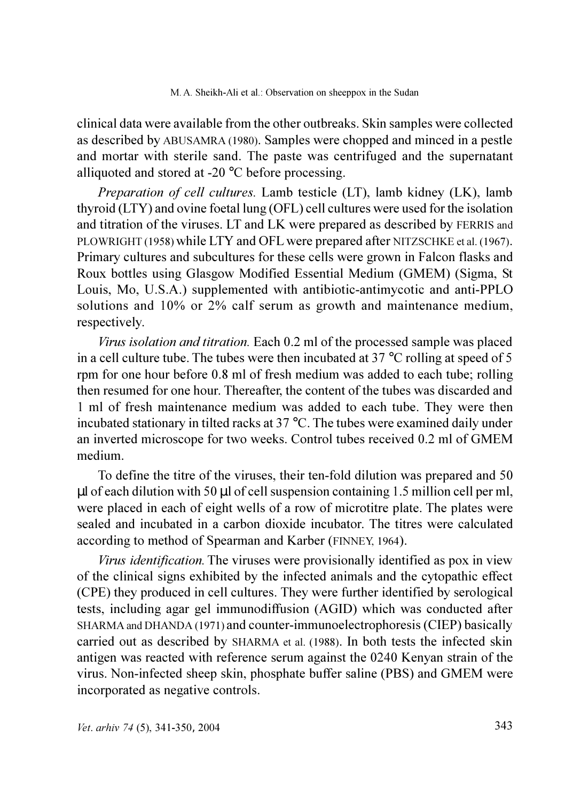clinical data were available from the other outbreaks. Skin samples were collected as described by ABUSAMRA (1980). Samples were chopped and minced in a pestle and mortar with sterile sand. The paste was centrifuged and the supernatant alliquoted and stored at -20 °C before processing.

*Preparation of cell cultures.* Lamb testicle (LT), lamb kidney (LK), lamb thyroid (LTY) and ovine foetal lung (OFL) cell cultures were used for the isolation and titration of the viruses. LT and LK were prepared as described by FERRIS and PLOWRIGHT (1958) while LTY and OFL were prepared after NITZSCHKE et al. (1967). Primary cultures and subcultures for these cells were grown in Falcon flasks and Roux bottles using Glasgow Modified Essential Medium (GMEM) (Sigma, St. Louis, Mo, U.S.A.) supplemented with antibiotic-antimycotic and anti-PPLO solutions and 10% or 2% calf serum as growth and maintenance medium, respectively.

Virus isolation and titration. Each 0.2 ml of the processed sample was placed in a cell culture tube. The tubes were then incubated at 37  $^{\circ}$ C rolling at speed of 5 rom for one hour before 0.8 ml of fresh medium was added to each tube; rolling then resumed for one hour. Thereafter, the content of the tubes was discarded and 1 ml of fresh maintenance medium was added to each tube. They were then incubated stationary in tilted racks at 37  $^{\circ}$ C. The tubes were examined daily under an inverted microscope for two weeks. Control tubes received 0.2 ml of GMEM medium.

To define the titre of the viruses, their ten-fold dilution was prepared and 50 ul of each dilution with 50 ul of cell suspension containing 1.5 million cell per ml. were placed in each of eight wells of a row of microtitre plate. The plates were sealed and incubated in a carbon dioxide incubator. The titres were calculated according to method of Spearman and Karber (FINNEY, 1964).

Virus identification. The viruses were provisionally identified as pox in view of the clinical signs exhibited by the infected animals and the cytopathic effect (CPE) they produced in cell cultures. They were further identified by serological tests, including agar gel immunodiffusion (AGID) which was conducted after SHARMA and DHANDA (1971) and counter-immunoelectrophoresis (CIEP) basically carried out as described by SHARMA et al. (1988). In both tests the infected skin antigen was reacted with reference serum against the 0240 Kenyan strain of the virus. Non-infected sheep skin, phosphate buffer saline (PBS) and GMEM were incorporated as negative controls.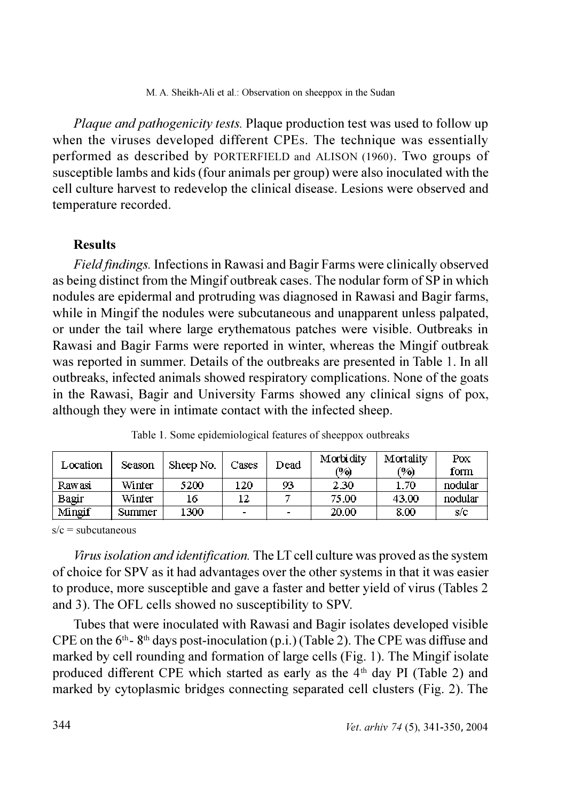Plaque and pathogenicity tests. Plaque production test was used to follow up when the viruses developed different CPEs. The technique was essentially performed as described by PORTERFIELD and ALISON (1960). Two groups of susceptible lambs and kids (four animals per group) were also inoculated with the cell culture harvest to redevelop the clinical disease. Lesions were observed and temperature recorded.

# **Results**

Field findings. Infections in Rawasi and Bagir Farms were clinically observed as being distinct from the Mingif outbreak cases. The nodular form of SP in which nodules are epidermal and protruding was diagnosed in Rawasi and Bagir farms, while in Mingif the nodules were subcutaneous and unapparent unless palpated, or under the tail where large erythematous patches were visible. Outbreaks in Rawasi and Bagir Farms were reported in winter, whereas the Mingif outbreak was reported in summer. Details of the outbreaks are presented in Table 1. In all outbreaks, infected animals showed respiratory complications. None of the goats in the Rawasi, Bagir and University Farms showed any clinical signs of pox, although they were in intimate contact with the infected sheep.

| Location | Season | Sheep No | Cases          | Dead           | Morbidity<br>(9) | Mortality<br>(9) | Pox<br>form |
|----------|--------|----------|----------------|----------------|------------------|------------------|-------------|
| Rawasi   | Winter | 5200     | 120            | 93             | 230              | 170              | nodular     |
| Bagir    | Winter | 16       |                |                | 75.00            | 43.00            | nodular     |
| Mingif   | Summer | 1300     | $\blacksquare$ | $\blacksquare$ | 20 00            | 8.00             | s/c         |

Table 1. Some epidemiological features of sheeppox outbreaks

 $s/c =$ subcutaneous

Virus isolation and identification. The LT cell culture was proved as the system of choice for SPV as it had advantages over the other systems in that it was easier to produce, more susceptible and gave a faster and better yield of virus (Tables 2) and 3). The OFL cells showed no susceptibility to SPV.

Tubes that were inoculated with Rawasi and Bagir isolates developed visible CPE on the  $6<sup>th</sup>$ -8<sup>th</sup> days post-inoculation (p.i.) (Table 2). The CPE was diffuse and marked by cell rounding and formation of large cells (Fig. 1). The Mingif isolate produced different CPE which started as early as the 4<sup>th</sup> day PI (Table 2) and marked by cytoplasmic bridges connecting separated cell clusters (Fig. 2). The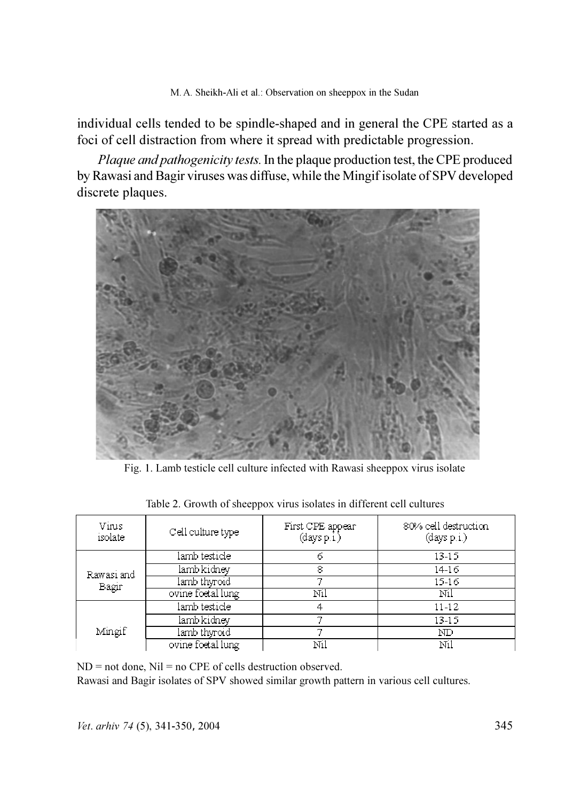individual cells tended to be spindle-shaped and in general the CPE started as a foci of cell distraction from where it spread with predictable progression.

Plaque and pathogenicity tests. In the plaque production test, the CPE produced by Rawasi and Bagir viruses was diffuse, while the Mingif isolate of SPV developed discrete plaques.



Fig. 1. Lamb testicle cell culture infected with Rawasi sheeppox virus isolate

| Virus<br>isolate    | Cell culture type | First CPE appear<br>(days pi) | 80% cell destruction<br>(days p.i.) |
|---------------------|-------------------|-------------------------------|-------------------------------------|
| Rawasi and<br>Bagir | lamb testicle     | 6                             | 13 15                               |
|                     | lamb kidney       | 8                             | 14 16                               |
|                     | lamb thyroid      |                               | 15 16                               |
|                     | ovine foetal lung | Nil                           | Nil                                 |
| Mingif              | lamb testicle     | 4                             | 11-12                               |
|                     | lamb kidney       |                               | 13 15                               |
|                     | lamb thyroid      |                               | ND                                  |
|                     | ovine foetal lung | Nil                           | Ni1                                 |

Table 2. Growth of sheeppox virus isolates in different cell cultures

 $ND = not$  done,  $Nil = no$  CPE of cells destruction observed.

Rawasi and Bagir isolates of SPV showed similar growth pattern in various cell cultures.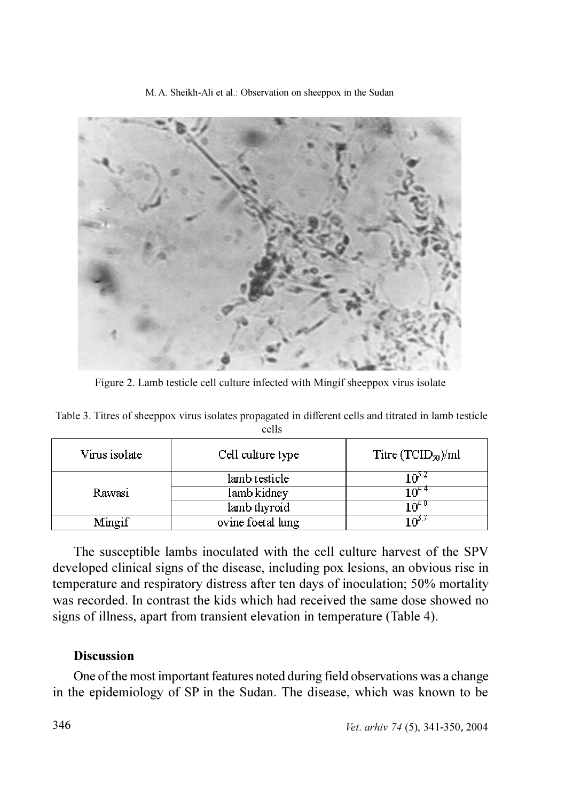

Figure 2. Lamb testicle cell culture infected with Mingif sheeppox virus isolate

| Virus isolate | Cell culture type | Titre $(TCID_{50})/ml$ |
|---------------|-------------------|------------------------|
|               | lamb testicle     |                        |
| Rawasi        | lamb kidney       |                        |
|               | lamb thyroid      | ∪.4∩⊦                  |
| Mingif        | ovine foetal lung |                        |

Table 3. Titres of sheeppox virus isolates propagated in different cells and titrated in lamb testicle cells

The susceptible lambs inoculated with the cell culture harvest of the SPV developed clinical signs of the disease, including pox lesions, an obvious rise in temperature and respiratory distress after ten days of inoculation; 50% mortality was recorded. In contrast the kids which had received the same dose showed no signs of illness, apart from transient elevation in temperature (Table 4).

# **Discussion**

One of the most important features noted during field observations was a change in the epidemiology of SP in the Sudan. The disease, which was known to be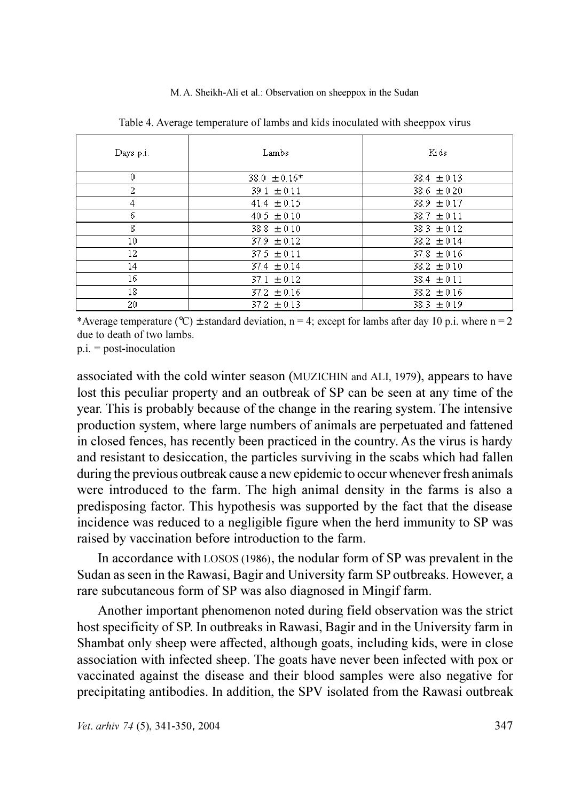| Days p.i.    | Lambs            | Kids            |
|--------------|------------------|-----------------|
| $\mathbf{0}$ | $38.0 \pm 0.16*$ | $38.4 \pm 0.13$ |
| 2            | $39.1 \pm 0.11$  | $38.6 \pm 0.20$ |
| 4            | $41.4 \pm 0.15$  | $38.9 \pm 0.17$ |
| 6            | $40.5 \pm 0.10$  | $38.7 \pm 0.11$ |
| 8            | $38.8 \pm 0.10$  | $38.3 \pm 0.12$ |
| 10           | $37.9 \pm 0.12$  | $38.2 \pm 0.14$ |
| 12           | $37.5 \pm 0.11$  | $37.8 \pm 0.16$ |
| 14           | $37.4 \pm 0.14$  | $38.2 \pm 0.10$ |
| 16           | $37.1 \pm 0.12$  | $38.4 \pm 0.11$ |
| 18           | $37.2 \pm 0.16$  | $38.2 \pm 0.16$ |
| 20           | $37.2 \pm 0.13$  | $38.3 \pm 0.19$ |

Table 4. Average temperature of lambs and kids inoculated with sheeppox virus

\*Average temperature (°C)  $\pm$  standard deviation, n = 4; except for lambs after day 10 p.i. where n = 2 due to death of two lambs.

 $p.i. = post-inoculation$ 

associated with the cold winter season (MUZICHIN and ALI, 1979), appears to have lost this peculiar property and an outbreak of SP can be seen at any time of the year. This is probably because of the change in the rearing system. The intensive production system, where large numbers of animals are perpetuated and fattened in closed fences, has recently been practiced in the country. As the virus is hardy and resistant to desiccation, the particles surviving in the scabs which had fallen during the previous outbreak cause a new epidemic to occur whenever fresh animals were introduced to the farm. The high animal density in the farms is also a predisposing factor. This hypothesis was supported by the fact that the disease incidence was reduced to a negligible figure when the herd immunity to SP was raised by vaccination before introduction to the farm.

In accordance with LOSOS (1986), the nodular form of SP was prevalent in the Sudan as seen in the Rawasi, Bagir and University farm SP outbreaks. However, a rare subcutaneous form of SP was also diagnosed in Mingif farm.

Another important phenomenon noted during field observation was the strict host specificity of SP. In outbreaks in Rawasi, Bagir and in the University farm in Shambat only sheep were affected, although goats, including kids, were in close association with infected sheep. The goats have never been infected with pox or vaccinated against the disease and their blood samples were also negative for precipitating antibodies. In addition, the SPV isolated from the Rawasi outbreak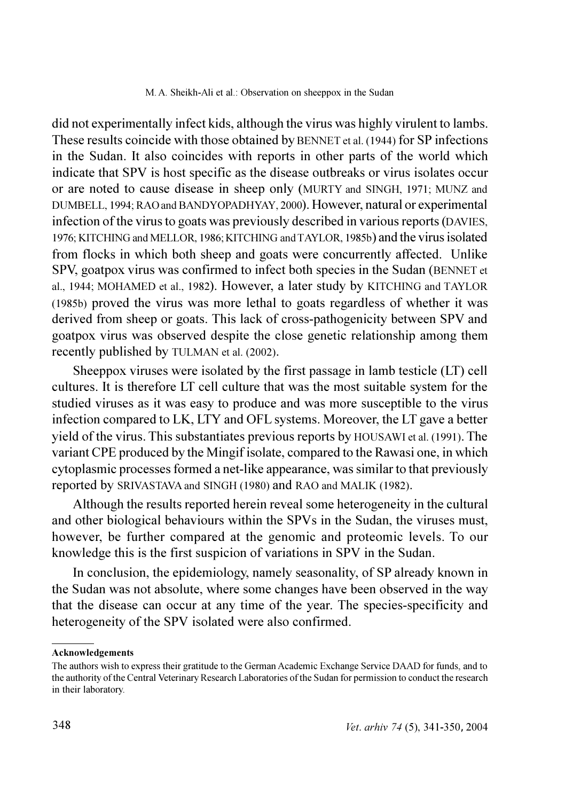did not experimentally infect kids, although the virus was highly virulent to lambs. These results coincide with those obtained by BENNET et al. (1944) for SP infections in the Sudan. It also coincides with reports in other parts of the world which indicate that SPV is host specific as the disease outbreaks or virus isolates occur or are noted to cause disease in sheep only (MURTY and SINGH, 1971; MUNZ and DUMBELL, 1994; RAO and BANDYOPADHYAY, 2000). However, natural or experimental infection of the virus to goats was previously described in various reports (DAVIES, 1976; KITCHING and MELLOR, 1986; KITCHING and TAYLOR, 1985b) and the virus isolated from flocks in which both sheep and goats were concurrently affected. Unlike SPV, goatpox virus was confirmed to infect both species in the Sudan (BENNET et al., 1944; MOHAMED et al., 1982). However, a later study by KITCHING and TAYLOR (1985b) proved the virus was more lethal to goats regardless of whether it was derived from sheep or goats. This lack of cross-pathogenicity between SPV and goatpox virus was observed despite the close genetic relationship among them recently published by TULMAN et al. (2002).

Sheeppox viruses were isolated by the first passage in lamb testicle (LT) cell cultures. It is therefore LT cell culture that was the most suitable system for the studied viruses as it was easy to produce and was more susceptible to the virus infection compared to LK, LTY and OFL systems. Moreover, the LT gave a better yield of the virus. This substantiates previous reports by HOUSAWI et al. (1991). The variant CPE produced by the Mingif isolate, compared to the Rawasi one, in which cytoplasmic processes formed a net-like appearance, was similar to that previously reported by SRIVASTAVA and SINGH (1980) and RAO and MALIK (1982).

Although the results reported herein reveal some heterogeneity in the cultural and other biological behaviours within the SPVs in the Sudan, the viruses must, however, be further compared at the genomic and proteomic levels. To our knowledge this is the first suspicion of variations in SPV in the Sudan.

In conclusion, the epidemiology, namely seasonality, of SP already known in the Sudan was not absolute, where some changes have been observed in the way that the disease can occur at any time of the year. The species-specificity and heterogeneity of the SPV isolated were also confirmed.

#### Acknowledgements

The authors wish to express their gratitude to the German Academic Exchange Service DAAD for funds, and to the authority of the Central Veterinary Research Laboratories of the Sudan for permission to conduct the research in their laboratory.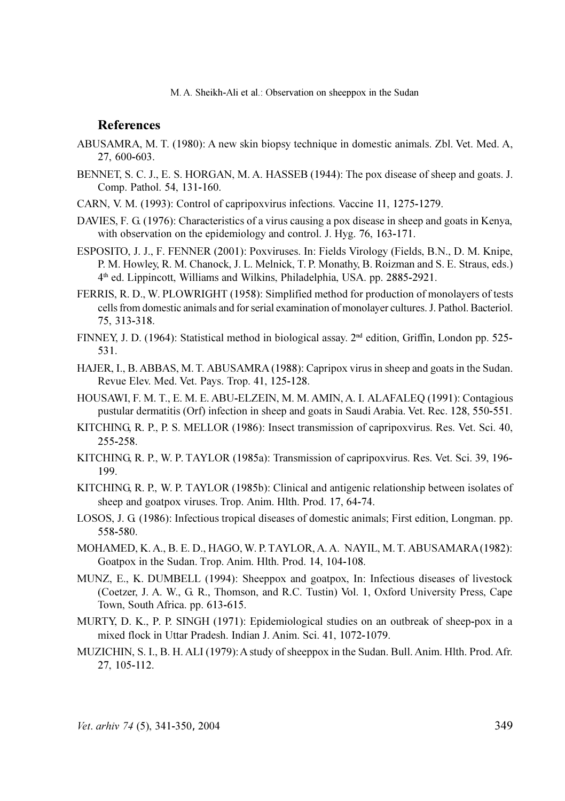### **References**

- ABUSAMRA, M. T. (1980): A new skin biopsy technique in domestic animals. Zbl. Vet. Med. A, 27, 600-603.
- BENNET, S. C. J., E. S. HORGAN, M. A. HASSEB (1944): The pox disease of sheep and goats. J. Comp. Pathol. 54, 131-160.
- CARN, V. M. (1993): Control of capripoxyirus infections. Vaccine 11, 1275-1279.
- DAVIES, F. G. (1976): Characteristics of a virus causing a pox disease in sheep and goats in Kenya, with observation on the epidemiology and control. J. Hyg. 76, 163-171.
- ESPOSITO, J. J., F. FENNER (2001): Poxviruses. In: Fields Virology (Fields, B.N., D. M. Knipe, P. M. Howley, R. M. Chanock, J. L. Melnick, T. P. Monathy, B. Roizman and S. E. Straus, eds.) 4<sup>th</sup> ed. Lippincott, Williams and Wilkins, Philadelphia, USA. pp. 2885-2921.
- FERRIS, R. D., W. PLOWRIGHT (1958): Simplified method for production of monolayers of tests cells from domestic animals and for serial examination of monolayer cultures. J. Pathol. Bacteriol. 75. 313-318.
- FINNEY, J. D. (1964): Statistical method in biological assay.  $2<sup>nd</sup>$  edition, Griffin, London pp. 525-531.
- HAJER, I., B. ABBAS, M. T. ABUSAMRA (1988): Capripox virus in sheep and goats in the Sudan. Revue Elev. Med. Vet. Pays. Trop. 41, 125-128.
- HOUSAWI, F. M. T., E. M. E. ABU-ELZEIN, M. M. AMIN, A. I. ALAFALEO (1991): Contagious pustular dermatitis (Orf) infection in sheep and goats in Saudi Arabia. Vet. Rec. 128, 550-551.
- KITCHING, R. P., P. S. MELLOR (1986): Insect transmission of capripoxyirus. Res. Vet. Sci. 40, 255-258.
- KITCHING, R. P., W. P. TAYLOR (1985a): Transmission of capripoxvirus. Res. Vet. Sci. 39, 196-199.
- KITCHING, R. P., W. P. TAYLOR (1985b): Clinical and antigenic relationship between isolates of sheep and goatpox viruses. Trop. Anim. Hlth. Prod. 17, 64-74.
- LOSOS, J. G (1986): Infectious tropical diseases of domestic animals; First edition, Longman, pp. 558-580.
- MOHAMED, K. A., B. E. D., HAGO, W. P. TAYLOR, A. A. NAYIL, M. T. ABUSAMARA (1982): Goatpox in the Sudan. Trop. Anim. Hlth. Prod. 14, 104-108.
- MUNZ, E., K. DUMBELL (1994): Sheeppox and goatpox, In: Infectious diseases of livestock (Coetzer, J. A. W., G. R., Thomson, and R.C. Tustin) Vol. 1, Oxford University Press, Cape Town, South Africa. pp. 613-615.
- MURTY, D. K., P. P. SINGH (1971): Epidemiological studies on an outbreak of sheep-pox in a mixed flock in Uttar Pradesh. Indian J. Anim. Sci. 41, 1072-1079.
- MUZICHIN, S. I., B. H. ALI (1979): A study of sheeppox in the Sudan. Bull. Anim. Hlth. Prod. Afr. 27, 105-112.